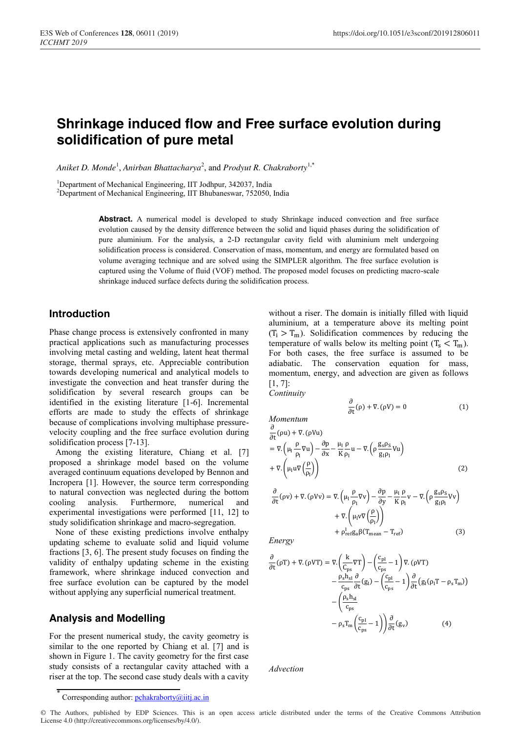# **Shrinkage induced flow and Free surface evolution during solidification of pure metal**

*Aniket D. Monde*<sup>1</sup> , *Anirban Bhattacharya*<sup>2</sup> , and *Prodyut R. Chakraborty*1,\*

<sup>1</sup>Department of Mechanical Engineering, IIT Jodhpur, 342037, India

<sup>2</sup>Department of Mechanical Engineering, IIT Bhubaneswar, 752050, India

**Abstract.** A numerical model is developed to study Shrinkage induced convection and free surface evolution caused by the density difference between the solid and liquid phases during the solidification of pure aluminium. For the analysis, a 2-D rectangular cavity field with aluminium melt undergoing solidification process is considered. Conservation of mass, momentum, and energy are formulated based on volume averaging technique and are solved using the SIMPLER algorithm. The free surface evolution is captured using the Volume of fluid (VOF) method. The proposed model focuses on predicting macro-scale shrinkage induced surface defects during the solidification process.

## **Introduction**

Phase change process is extensively confronted in many practical applications such as manufacturing processes involving metal casting and welding, latent heat thermal storage, thermal sprays, etc. Appreciable contribution towards developing numerical and analytical models to investigate the convection and heat transfer during the solidification by several research groups can be identified in the existing literature [1-6]. Incremental efforts are made to study the effects of shrinkage because of complications involving multiphase pressurevelocity coupling and the free surface evolution during solidification process [7-13].

Among the existing literature, Chiang et al. [7] proposed a shrinkage model based on the volume averaged continuum equations developed by Bennon and Incropera [1]. However, the source term corresponding to natural convection was neglected during the bottom cooling analysis. Furthermore, numerical and experimental investigations were performed [11, 12] to study solidification shrinkage and macro-segregation.

None of these existing predictions involve enthalpy updating scheme to evaluate solid and liquid volume fractions [3, 6]. The present study focuses on finding the validity of enthalpy updating scheme in the existing framework, where shrinkage induced convection and free surface evolution can be captured by the model without applying any superficial numerical treatment.

## **Analysis and Modelling**

For the present numerical study, the cavity geometry is similar to the one reported by Chiang et al. [7] and is shown in Figure 1. The cavity geometry for the first case study consists of a rectangular cavity attached with a riser at the top. The second case study deals with a cavity

without a riser. The domain is initially filled with liquid aluminium, at a temperature above its melting point  $(T_i > T_m)$ . Solidification commences by reducing the temperature of walls below its melting point  $(T_s < T_m)$ . For both cases, the free surface is assumed to be adiabatic. The conservation equation for mass, momentum, energy, and advection are given as follows  $[1, 7]$ :

*Continuity* 

∂

$$
\frac{\partial}{\partial t}(\rho) + \nabla \cdot (\rho V) = 0 \tag{1}
$$

*Momentum* 

$$
\frac{\partial}{\partial t}(\rho u) + \nabla \cdot (\rho V u) \n= \nabla \cdot \left(\mu_1 \frac{\rho}{\rho_1} \nabla u\right) - \frac{\partial p}{\partial x} - \frac{\mu_1}{K} \frac{\rho}{\rho_1} u - \nabla \cdot \left(\rho \frac{g_s \rho_s}{g_1 \rho_1} V u\right) \n+ \nabla \cdot \left(\mu_1 u \nabla \left(\frac{\rho}{\rho_1}\right)\right)
$$
\n(2)

$$
\frac{\partial}{\partial t}(\rho v) + \nabla \cdot (\rho Vv) = \nabla \cdot \left(\mu_1 \frac{\rho}{\rho_1} \nabla v\right) - \frac{\partial p}{\partial y} - \frac{\mu_1 \rho}{K \rho_1} v - \nabla \cdot \left(\rho \frac{g_s \rho_s}{g_1 \rho_1} Vv\right) \n+ \nabla \cdot \left(\mu_1 v \nabla \left(\frac{\rho}{\rho_1}\right)\right) \n+ \rho_{ref}^1 g_a \beta (T_{mean} - T_{ref})
$$
\n(3)

*Energy* 

$$
\frac{\partial}{\partial t}(\rho T) + \nabla \cdot (\rho V T) = \nabla \cdot \left(\frac{k}{C_{ps}} \nabla T\right) - \left(\frac{c_{pl}}{c_{ps}} - 1\right) \nabla \cdot (\rho V T) \n- \frac{\rho_s h_{sl}}{c_{ps}} \frac{\partial}{\partial t} (g_l) - \left(\frac{c_{pl}}{c_{ps}} - 1\right) \frac{\partial}{\partial t} (g_l(\rho_l T - \rho_s T_m)) \n- \left(\frac{\rho_s h_{sl}}{c_{ps}} - \rho_s T_m \left(\frac{c_{pl}}{c_{ps}} - 1\right)\right) \frac{\partial}{\partial t} (g_v)
$$
\n(4)

*Advection* 

<sup>\*</sup> Corresponding author: pchakraborty@iitj.ac.in

<sup>©</sup> The Authors, published by EDP Sciences. This is an open access article distributed under the terms of the Creative Commons Attribution License 4.0 (http://creativecommons.org/licenses/by/4.0/).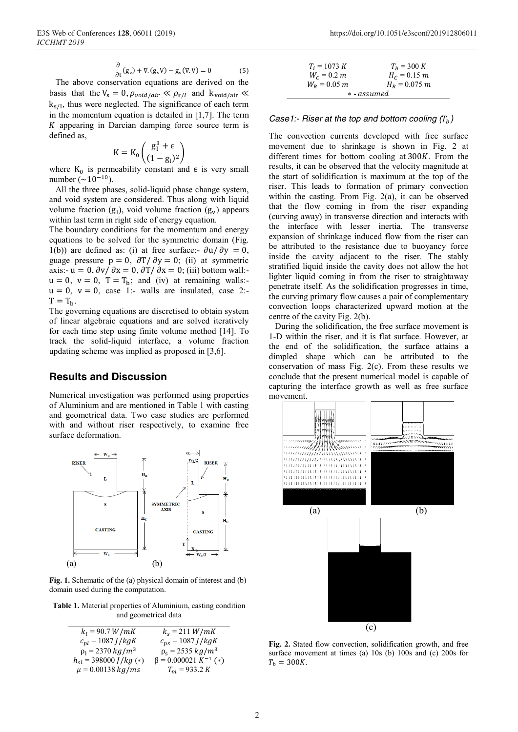$$
\frac{\partial}{\partial t}(g_v) + \nabla \cdot (g_v V) - g_v(\nabla \cdot V) = 0 \tag{5}
$$

The above conservation equations are derived on the basis that the  $V_s = 0$ ,  $\rho_{void/air} \ll \rho_{s/l}$  and  $k_{void/air} \ll$  $k_{s/l}$ , thus were neglected. The significance of each term in the momentum equation is detailed in [1,7]. The term  $K$  appearing in Darcian damping force source term is defined as,

$$
K = K_0 \left( \frac{g_1^3 + \epsilon}{(1 - g_1)^2} \right)
$$

where  $K_0$  is permeability constant and  $\epsilon$  is very small number (~10<sup>-10</sup>).

All the three phases, solid-liquid phase change system, and void system are considered. Thus along with liquid volume fraction  $(g_1)$ , void volume fraction  $(g_v)$  appears within last term in right side of energy equation.

The boundary conditions for the momentum and energy equations to be solved for the symmetric domain (Fig. 1(b)) are defined as: (i) at free surface:-  $\partial u / \partial y = 0$ , guage pressure  $p = 0$ ,  $\frac{\partial T}{\partial y} = 0$ ; (ii) at symmetric axis:- u = 0,  $\frac{\partial v}{\partial x} = 0$ ,  $\frac{\partial T}{\partial x} = 0$ ; (iii) bottom wall: $u = 0$ ,  $v = 0$ ,  $T = T_b$ ; and (iv) at remaining walls: $u = 0$ ,  $v = 0$ , case 1:- walls are insulated, case 2:- $T = T<sub>b</sub>$ .

The governing equations are discretised to obtain system of linear algebraic equations and are solved iteratively for each time step using finite volume method [14]. To track the solid-liquid interface, a volume fraction updating scheme was implied as proposed in [3,6].

# **Results and Discussion**

Numerical investigation was performed using properties of Aluminium and are mentioned in Table 1 with casting and geometrical data. Two case studies are performed with and without riser respectively, to examine free surface deformation.



**Fig. 1.** Schematic of the (a) physical domain of interest and (b) domain used during the computation.

**Table 1.** Material properties of Aluminium, casting condition and geometrical data

| $k_{s} = 211 W/mK$                     |
|----------------------------------------|
| $c_{ps} = 1087 J/kgK$                  |
| $p_s = 2535 kg/m^3$                    |
| $\beta$ = 0.000021 K <sup>-1</sup> (*) |
| $T_m = 933.2 K$                        |
|                                        |

| $T_i = 1073 K$   | $T_h = 300 K$   |
|------------------|-----------------|
| $W_c = 0.2 \; m$ | $H_c = 0.15$ m  |
| $W_R = 0.05$ m   | $H_R = 0.075$ m |
| * - assumed      |                 |

#### Case1:- Riser at the top and bottom cooling  $(T_h)$

The convection currents developed with free surface movement due to shrinkage is shown in Fig. 2 at different times for bottom cooling at  $300K$ . From the results, it can be observed that the velocity magnitude at the start of solidification is maximum at the top of the riser. This leads to formation of primary convection within the casting. From Fig. 2(a), it can be observed that the flow coming in from the riser expanding (curving away) in transverse direction and interacts with the interface with lesser inertia. The transverse expansion of shrinkage induced flow from the riser can be attributed to the resistance due to buoyancy force inside the cavity adjacent to the riser. The stably stratified liquid inside the cavity does not allow the hot lighter liquid coming in from the riser to straightaway penetrate itself. As the solidification progresses in time, the curving primary flow causes a pair of complementary convection loops characterized upward motion at the centre of the cavity Fig. 2(b).

During the solidification, the free surface movement is 1-D within the riser, and it is flat surface. However, at the end of the solidification, the surface attains a dimpled shape which can be attributed to the conservation of mass Fig. 2(c). From these results we conclude that the present numerical model is capable of capturing the interface growth as well as free surface movement.



**Fig. 2.** Stated flow convection, solidification growth, and free surface movement at times (a) 10s (b) 100s and (c) 200s for  $T_b = 300K$ .